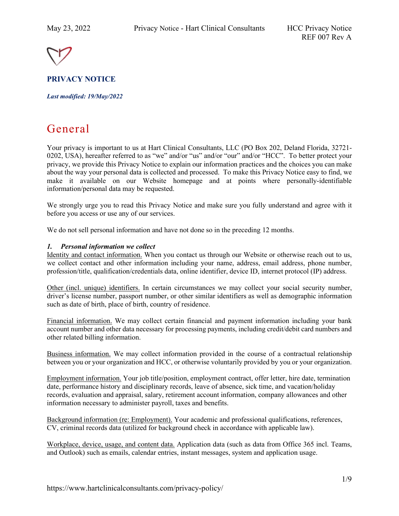

**PRIVACY NOTICE**

*Last modified: 19/May/2022*

# General

Your privacy is important to us at Hart Clinical Consultants, LLC (PO Box 202, Deland Florida, 32721- 0202, USA), hereafter referred to as "we" and/or "us" and/or "our" and/or "HCC". To better protect your privacy, we provide this Privacy Notice to explain our information practices and the choices you can make about the way your personal data is collected and processed. To make this Privacy Notice easy to find, we make it available on our Website homepage and at points where personally-identifiable information/personal data may be requested.

We strongly urge you to read this Privacy Notice and make sure you fully understand and agree with it before you access or use any of our services.

We do not sell personal information and have not done so in the preceding 12 months.

## *1. Personal information we collect*

Identity and contact information. When you contact us through our Website or otherwise reach out to us, we collect contact and other information including your name, address, email address, phone number, profession/title, qualification/credentials data, online identifier, device ID, internet protocol (IP) address.

Other (incl. unique) identifiers. In certain circumstances we may collect your social security number, driver's license number, passport number, or other similar identifiers as well as demographic information such as date of birth, place of birth, country of residence.

Financial information. We may collect certain financial and payment information including your bank account number and other data necessary for processing payments, including credit/debit card numbers and other related billing information.

Business information. We may collect information provided in the course of a contractual relationship between you or your organization and HCC, or otherwise voluntarily provided by you or your organization.

Employment information. Your job title/position, employment contract, offer letter, hire date, termination date, performance history and disciplinary records, leave of absence, sick time, and vacation/holiday records, evaluation and appraisal, salary, retirement account information, company allowances and other information necessary to administer payroll, taxes and benefits.

Background information (re: Employment). Your academic and professional qualifications, references, CV, criminal records data (utilized for background check in accordance with applicable law).

Workplace, device, usage, and content data. Application data (such as data from Office 365 incl. Teams, and Outlook) such as emails, calendar entries, instant messages, system and application usage.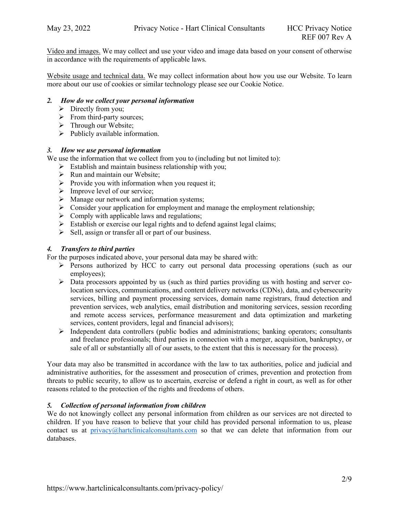Video and images. We may collect and use your video and image data based on your consent of otherwise in accordance with the requirements of applicable laws.

Website usage and technical data. We may collect information about how you use our Website. To learn more about our use of cookies or similar technology please see our Cookie Notice.

## *2. How do we collect your personal information*

- $\triangleright$  Directly from you;
- $\triangleright$  From third-party sources;
- $\triangleright$  Through our Website;
- $\triangleright$  Publicly available information.

#### *3. How we use personal information*

We use the information that we collect from you to (including but not limited to):

- $\triangleright$  Establish and maintain business relationship with you;
- $\triangleright$  Run and maintain our Website;
- $\triangleright$  Provide you with information when you request it;
- $\triangleright$  Improve level of our service;
- > Manage our network and information systems;
- $\triangleright$  Consider your application for employment and manage the employment relationship;
- $\triangleright$  Comply with applicable laws and regulations;
- $\triangleright$  Establish or exercise our legal rights and to defend against legal claims;
- $\triangleright$  Sell, assign or transfer all or part of our business.

#### *4. Transfers to third parties*

For the purposes indicated above, your personal data may be shared with:

- Persons authorized by HCC to carry out personal data processing operations (such as our employees);
- Data processors appointed by us (such as third parties providing us with hosting and server colocation services, communications, and content delivery networks (CDNs), data, and cybersecurity services, billing and payment processing services, domain name registrars, fraud detection and prevention services, web analytics, email distribution and monitoring services, session recording and remote access services, performance measurement and data optimization and marketing services, content providers, legal and financial advisors);
- $\triangleright$  Independent data controllers (public bodies and administrations; banking operators; consultants and freelance professionals; third parties in connection with a merger, acquisition, bankruptcy, or sale of all or substantially all of our assets, to the extent that this is necessary for the process).

Your data may also be transmitted in accordance with the law to tax authorities, police and judicial and administrative authorities, for the assessment and prosecution of crimes, prevention and protection from threats to public security, to allow us to ascertain, exercise or defend a right in court, as well as for other reasons related to the protection of the rights and freedoms of others.

#### *5. Collection of personal information from children*

We do not knowingly collect any personal information from children as our services are not directed to children. If you have reason to believe that your child has provided personal information to us, please contact us at [privacy@hartclinicalconsultants.com](mailto:privacy@hartclinicalconsultants.com) so that we can delete that information from our databases.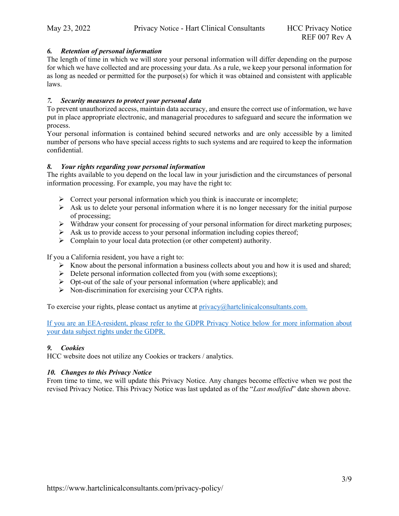## *6. Retention of personal information*

The length of time in which we will store your personal information will differ depending on the purpose for which we have collected and are processing your data. As a rule, we keep your personal information for as long as needed or permitted for the purpose(s) for which it was obtained and consistent with applicable laws.

### *7. Security measures to protect your personal data*

To prevent unauthorized access, maintain data accuracy, and ensure the correct use of information, we have put in place appropriate electronic, and managerial procedures to safeguard and secure the information we process.

Your personal information is contained behind secured networks and are only accessible by a limited number of persons who have special access rights to such systems and are required to keep the information confidential.

## *8. Your rights regarding your personal information*

The rights available to you depend on the local law in your jurisdiction and the circumstances of personal information processing. For example, you may have the right to:

- $\triangleright$  Correct your personal information which you think is inaccurate or incomplete;
- $\triangleright$  Ask us to delete your personal information where it is no longer necessary for the initial purpose of processing;
- Withdraw your consent for processing of your personal information for direct marketing purposes;
- $\triangleright$  Ask us to provide access to your personal information including copies thereof;
- $\triangleright$  Complain to your local data protection (or other competent) authority.

If you a California resident, you have a right to:

- $\triangleright$  Know about the personal information a business collects about you and how it is used and shared;
- $\triangleright$  Delete personal information collected from you (with some exceptions);
- $\triangleright$  Opt-out of the sale of your personal information (where applicable); and
- $\triangleright$  Non-discrimination for exercising your CCPA rights.

To exercise your rights, please contact us anytime at  $\frac{\text{privacy}}{\text{@}$  hartclinical consultants.com.

If you are an EEA-resident, please refer to the GDPR Privacy Notice below for more information about your data subject rights under the GDPR.

## *9. Cookies*

HCC website does not utilize any Cookies or trackers / analytics.

## *10. Changes to this Privacy Notice*

From time to time, we will update this Privacy Notice. Any changes become effective when we post the revised Privacy Notice. This Privacy Notice was last updated as of the "*Last modified*" date shown above.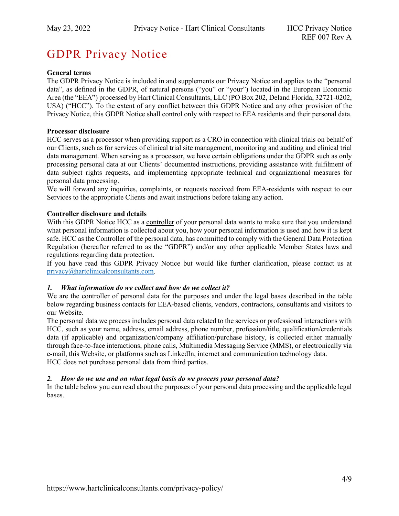## GDPR Privacy Notice

## **General terms**

The GDPR Privacy Notice is included in and supplements our Privacy Notice and applies to the "personal data", as defined in the GDPR, of natural persons ("you" or "your") located in the European Economic Area (the "EEA") processed by Hart Clinical Consultants, LLC (PO Box 202, Deland Florida, 32721-0202, USA) ("HCC"). To the extent of any conflict between this GDPR Notice and any other provision of the Privacy Notice, this GDPR Notice shall control only with respect to EEA residents and their personal data.

#### **Processor disclosure**

HCC serves as a processor when providing support as a CRO in connection with clinical trials on behalf of our Clients, such as for services of clinical trial site management, monitoring and auditing and clinical trial data management. When serving as a processor, we have certain obligations under the GDPR such as only processing personal data at our Clients' documented instructions, providing assistance with fulfilment of data subject rights requests, and implementing appropriate technical and organizational measures for personal data processing.

We will forward any inquiries, complaints, or requests received from EEA-residents with respect to our Services to the appropriate Clients and await instructions before taking any action.

#### **Controller disclosure and details**

With this GDPR Notice HCC as a controller of your personal data wants to make sure that you understand what personal information is collected about you, how your personal information is used and how it is kept safe. HCC as the Controller of the personal data, has committed to comply with the General Data Protection Regulation (hereafter referred to as the "GDPR") and/or any other applicable Member States laws and regulations regarding data protection.

If you have read this GDPR Privacy Notice but would like further clarification, please contact us at [privacy@hartclinicalconsultants.com.](mailto:privacy@hartclinicalconsultants.com)

#### *1. What information do we collect and how do we collect it?*

We are the controller of personal data for the purposes and under the legal bases described in the table below regarding business contacts for EEA-based clients, vendors, contractors, consultants and visitors to our Website.

The personal data we process includes personal data related to the services or professional interactions with HCC, such as your name, address, email address, phone number, profession/title, qualification/credentials data (if applicable) and organization/company affiliation/purchase history, is collected either manually through face-to-face interactions, phone calls, Multimedia Messaging Service (MMS), or electronically via e-mail, this Website, or platforms such as LinkedIn, internet and communication technology data. HCC does not purchase personal data from third parties.

#### *2. How do we use and on what legal basis do we process your personal data?*

In the table below you can read about the purposes of your personal data processing and the applicable legal bases.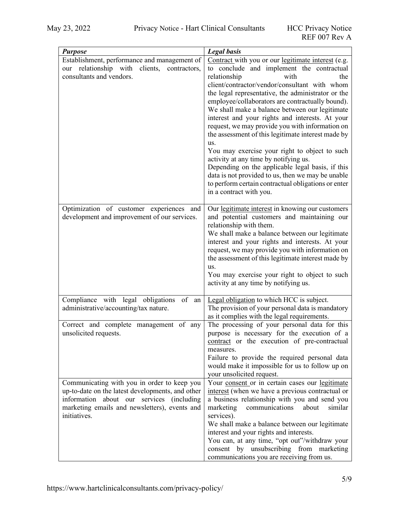| <b>Purpose</b>                                                                                                                                                                                                | <b>Legal</b> basis                                                                                                                                                                                                                                                                                                                                                                                                                                                                                                                                                                                                                                                                                                                                                                                  |
|---------------------------------------------------------------------------------------------------------------------------------------------------------------------------------------------------------------|-----------------------------------------------------------------------------------------------------------------------------------------------------------------------------------------------------------------------------------------------------------------------------------------------------------------------------------------------------------------------------------------------------------------------------------------------------------------------------------------------------------------------------------------------------------------------------------------------------------------------------------------------------------------------------------------------------------------------------------------------------------------------------------------------------|
| Establishment, performance and management of<br>relationship with<br>clients,<br>contractors,<br>our<br>consultants and vendors.                                                                              | Contract with you or our legitimate interest (e.g.<br>to conclude and implement the contractual<br>relationship<br>with<br>the<br>client/contractor/vendor/consultant with whom<br>the legal representative, the administrator or the<br>employee/collaborators are contractually bound).<br>We shall make a balance between our legitimate<br>interest and your rights and interests. At your<br>request, we may provide you with information on<br>the assessment of this legitimate interest made by<br>us.<br>You may exercise your right to object to such<br>activity at any time by notifying us.<br>Depending on the applicable legal basis, if this<br>data is not provided to us, then we may be unable<br>to perform certain contractual obligations or enter<br>in a contract with you. |
| Optimization of customer experiences and<br>development and improvement of our services.                                                                                                                      | Our legitimate interest in knowing our customers<br>and potential customers and maintaining our<br>relationship with them.<br>We shall make a balance between our legitimate<br>interest and your rights and interests. At your<br>request, we may provide you with information on<br>the assessment of this legitimate interest made by<br>us.<br>You may exercise your right to object to such<br>activity at any time by notifying us.                                                                                                                                                                                                                                                                                                                                                           |
| Compliance with legal obligations<br>of<br>${\rm an}$<br>administrative/accounting/tax nature.                                                                                                                | Legal obligation to which HCC is subject.<br>The provision of your personal data is mandatory<br>as it complies with the legal requirements.                                                                                                                                                                                                                                                                                                                                                                                                                                                                                                                                                                                                                                                        |
| Correct and complete management of any<br>unsolicited requests.                                                                                                                                               | The processing of your personal data for this<br>purpose is necessary for the execution of a<br>contract or the execution of pre-contractual<br>measures.<br>Failure to provide the required personal data<br>would make it impossible for us to follow up on<br>your unsolicited request.                                                                                                                                                                                                                                                                                                                                                                                                                                                                                                          |
| Communicating with you in order to keep you<br>up-to-date on the latest developments, and other<br>information about our services (including<br>marketing emails and newsletters), events and<br>initiatives. | Your consent or in certain cases our legitimate<br>interest (when we have a previous contractual or<br>a business relationship with you and send you<br>marketing<br>communications<br>about<br>similar<br>services).<br>We shall make a balance between our legitimate<br>interest and your rights and interests.<br>You can, at any time, "opt out"/withdraw your<br>by unsubscribing from marketing<br>consent<br>communications you are receiving from us.                                                                                                                                                                                                                                                                                                                                      |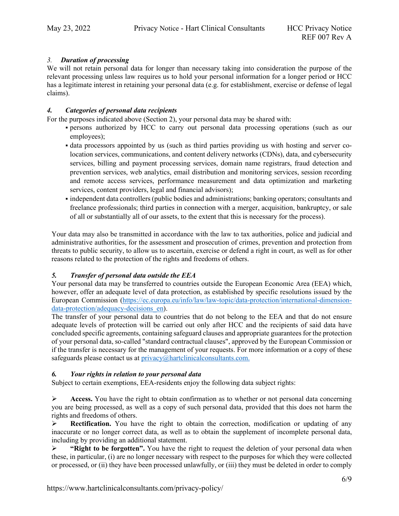## *3. Duration of processing*

We will not retain personal data for longer than necessary taking into consideration the purpose of the relevant processing unless law requires us to hold your personal information for a longer period or HCC has a legitimate interest in retaining your personal data (e.g. for establishment, exercise or defense of legal claims).

## *4. Categories of personal data recipients*

For the purposes indicated above (Section 2), your personal data may be shared with:

- persons authorized by HCC to carry out personal data processing operations (such as our employees);
- data processors appointed by us (such as third parties providing us with hosting and server colocation services, communications, and content delivery networks (CDNs), data, and cybersecurity services, billing and payment processing services, domain name registrars, fraud detection and prevention services, web analytics, email distribution and monitoring services, session recording and remote access services, performance measurement and data optimization and marketing services, content providers, legal and financial advisors);
- independent data controllers (public bodies and administrations; banking operators; consultants and freelance professionals; third parties in connection with a merger, acquisition, bankruptcy, or sale of all or substantially all of our assets, to the extent that this is necessary for the process).

Your data may also be transmitted in accordance with the law to tax authorities, police and judicial and administrative authorities, for the assessment and prosecution of crimes, prevention and protection from threats to public security, to allow us to ascertain, exercise or defend a right in court, as well as for other reasons related to the protection of the rights and freedoms of others.

## *5. Transfer of personal data outside the EEA*

Your personal data may be transferred to countries outside the European Economic Area (EEA) which, however, offer an adequate level of data protection, as established by specific resolutions issued by the European Commission [\(https://ec.europa.eu/info/law/law-topic/data-protection/international-dimension](https://ec.europa.eu/info/law/law-topic/data-protection/international-dimension-data-protection/adequacy-decisions_en)data-protection/adequacy-decisions en).

The transfer of your personal data to countries that do not belong to the EEA and that do not ensure adequate levels of protection will be carried out only after HCC and the recipients of said data have concluded specific agreements, containing safeguard clauses and appropriate guarantees for the protection of your personal data, so-called "standard contractual clauses", approved by the European Commission or if the transfer is necessary for the management of your requests. For more information or a copy of these safeguards please contact us at [privacy@hartclinicalconsultants.com.](mailto:privacy@hartclinicalconsultants.com)

## *6. Your rights in relation to your personal data*

Subject to certain exemptions, EEA-residents enjoy the following data subject rights:

 $\triangleright$  **Access.** You have the right to obtain confirmation as to whether or not personal data concerning you are being processed, as well as a copy of such personal data, provided that this does not harm the rights and freedoms of others.

**Rectification.** You have the right to obtain the correction, modification or updating of any inaccurate or no longer correct data, as well as to obtain the supplement of incomplete personal data, including by providing an additional statement.

 **"Right to be forgotten".** You have the right to request the deletion of your personal data when these, in particular, (i) are no longer necessary with respect to the purposes for which they were collected or processed, or (ii) they have been processed unlawfully, or (iii) they must be deleted in order to comply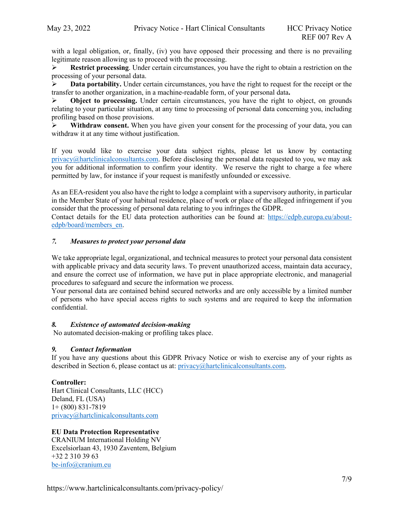with a legal obligation, or, finally, (iv) you have opposed their processing and there is no prevailing legitimate reason allowing us to proceed with the processing.

 **Restrict processing**. Under certain circumstances, you have the right to obtain a restriction on the processing of your personal data.

**Data portability.** Under certain circumstances, you have the right to request for the receipt or the transfer to another organization, in a machine-readable form, of your personal data**.** 

**Object to processing.** Under certain circumstances, you have the right to object, on grounds relating to your particular situation, at any time to processing of personal data concerning you, including profiling based on those provisions.

 **Withdraw consent.** When you have given your consent for the processing of your data, you can withdraw it at any time without justification.

If you would like to exercise your data subject rights, please let us know by contacting  $privacy@hartclinicalconsultants.com$ . Before disclosing the personal data requested to you, we may ask you for additional information to confirm your identity. We reserve the right to charge a fee where permitted by law, for instance if your request is manifestly unfounded or excessive.

As an EEA-resident you also have the right to lodge a complaint with a supervisory authority, in particular in the Member State of your habitual residence, place of work or place of the alleged infringement if you consider that the processing of personal data relating to you infringes the GDPR.

Contact details for the EU data protection authorities can be found at: [https://edpb.europa.eu/about](https://edpb.europa.eu/about-edpb/board/members_en)[edpb/board/members\\_en.](https://edpb.europa.eu/about-edpb/board/members_en)

### *7. Measures to protect your personal data*

We take appropriate legal, organizational, and technical measures to protect your personal data consistent with applicable privacy and data security laws. To prevent unauthorized access, maintain data accuracy, and ensure the correct use of information, we have put in place appropriate electronic, and managerial procedures to safeguard and secure the information we process.

Your personal data are contained behind secured networks and are only accessible by a limited number of persons who have special access rights to such systems and are required to keep the information confidential.

#### *8. Existence of automated decision-making*

No automated decision-making or profiling takes place.

#### *9. Contact Information*

If you have any questions about this GDPR Privacy Notice or wish to exercise any of your rights as described in Section 6, please contact us at: [privacy@hartclinicalconsultants.com.](mailto:privacy@hartclinicalconsultants.com)

#### **Controller:**

Hart Clinical Consultants, LLC (HCC) Deland, FL (USA) 1+ (800) 831-7819 [privacy@hartclinicalconsultants.com](mailto:privacy@hartclinicalconsultants.com)

#### **EU Data Protection Representative**

CRANIUM International Holding NV Excelsiorlaan 43, 1930 Zaventem, Belgium +32 2 310 39 63 [be-info@cranium.eu](mailto:be-info@cranium.eu)